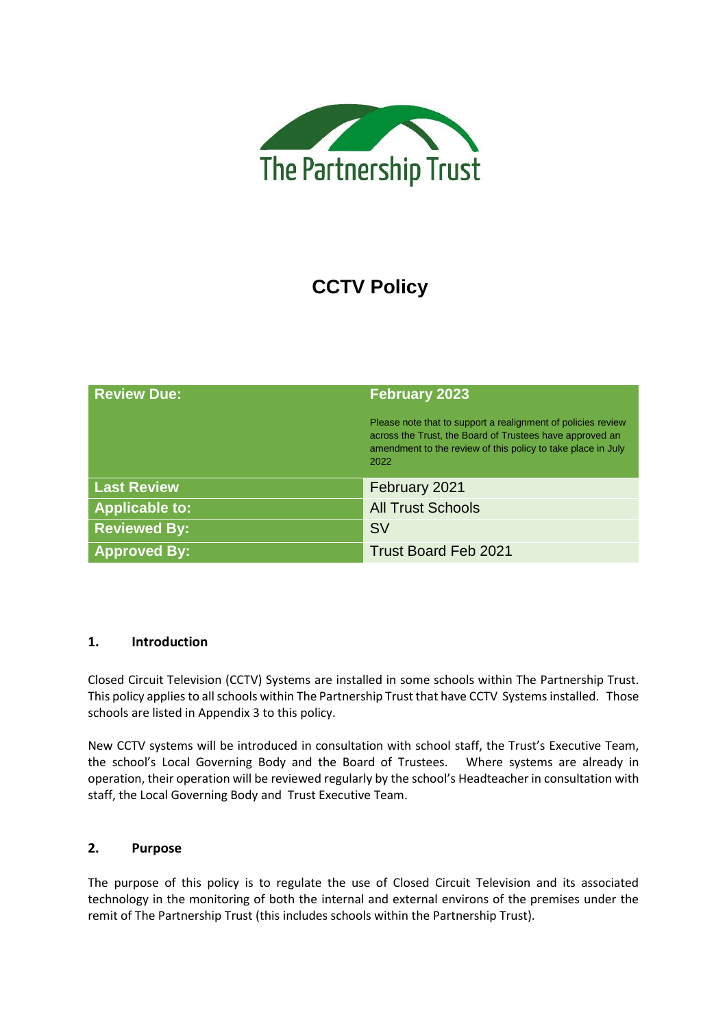

# **CCTV Policy**

| <b>Review Due:</b>    | <b>February 2023</b>                                                                                                                                                                             |  |
|-----------------------|--------------------------------------------------------------------------------------------------------------------------------------------------------------------------------------------------|--|
|                       | Please note that to support a realignment of policies review<br>across the Trust, the Board of Trustees have approved an<br>amendment to the review of this policy to take place in July<br>2022 |  |
| <b>Last Review</b>    | February 2021                                                                                                                                                                                    |  |
| <b>Applicable to:</b> | <b>All Trust Schools</b>                                                                                                                                                                         |  |
| <b>Reviewed By:</b>   | <b>SV</b>                                                                                                                                                                                        |  |
| <b>Approved By:</b>   | <b>Trust Board Feb 2021</b>                                                                                                                                                                      |  |

# **1. Introduction**

Closed Circuit Television (CCTV) Systems are installed in some schools within The Partnership Trust. This policy applies to all schools within The Partnership Trust that have CCTV Systems installed. Those schools are listed in Appendix 3 to this policy.

New CCTV systems will be introduced in consultation with school staff, the Trust's Executive Team, the school's Local Governing Body and the Board of Trustees. Where systems are already in operation, their operation will be reviewed regularly by the school's Headteacher in consultation with staff, the Local Governing Body and Trust Executive Team.

# **2. Purpose**

The purpose of this policy is to regulate the use of Closed Circuit Television and its associated technology in the monitoring of both the internal and external environs of the premises under the remit of The Partnership Trust (this includes schools within the Partnership Trust).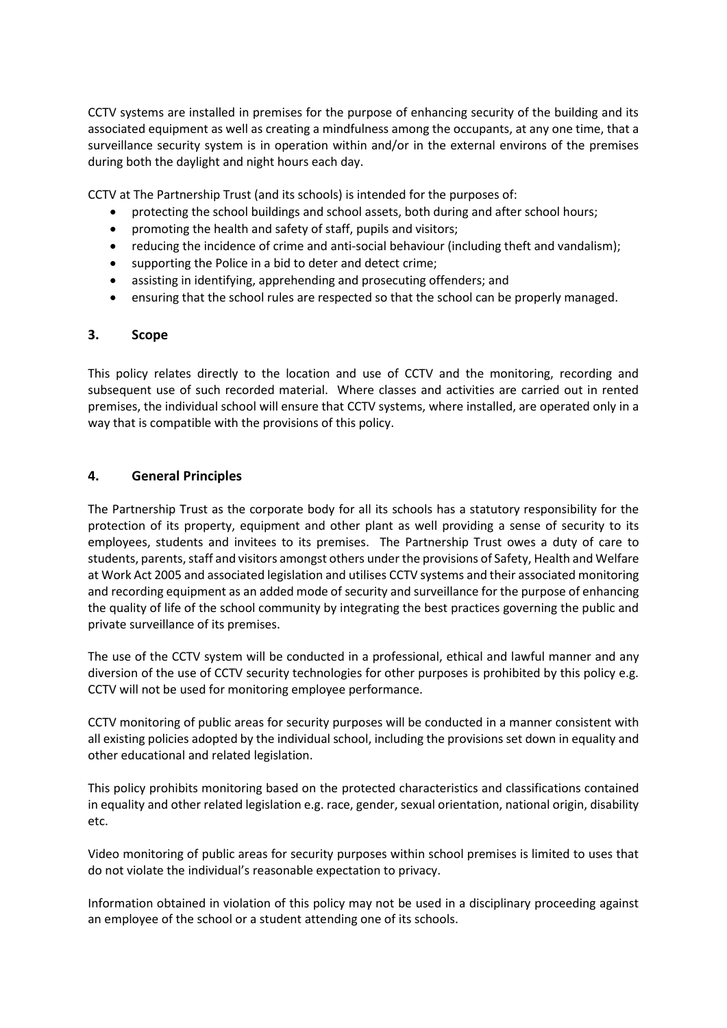CCTV systems are installed in premises for the purpose of enhancing security of the building and its associated equipment as well as creating a mindfulness among the occupants, at any one time, that a surveillance security system is in operation within and/or in the external environs of the premises during both the daylight and night hours each day.

CCTV at The Partnership Trust (and its schools) is intended for the purposes of:

- protecting the school buildings and school assets, both during and after school hours;
- promoting the health and safety of staff, pupils and visitors;
- reducing the incidence of crime and anti-social behaviour (including theft and vandalism);
- supporting the Police in a bid to deter and detect crime;
- assisting in identifying, apprehending and prosecuting offenders; and
- ensuring that the school rules are respected so that the school can be properly managed.

#### **3. Scope**

This policy relates directly to the location and use of CCTV and the monitoring, recording and subsequent use of such recorded material. Where classes and activities are carried out in rented premises, the individual school will ensure that CCTV systems, where installed, are operated only in a way that is compatible with the provisions of this policy.

# **4. General Principles**

The Partnership Trust as the corporate body for all its schools has a statutory responsibility for the protection of its property, equipment and other plant as well providing a sense of security to its employees, students and invitees to its premises. The Partnership Trust owes a duty of care to students, parents, staff and visitors amongst others under the provisions of Safety, Health and Welfare at Work Act 2005 and associated legislation and utilises CCTV systems and their associated monitoring and recording equipment as an added mode of security and surveillance for the purpose of enhancing the quality of life of the school community by integrating the best practices governing the public and private surveillance of its premises.

The use of the CCTV system will be conducted in a professional, ethical and lawful manner and any diversion of the use of CCTV security technologies for other purposes is prohibited by this policy e.g. CCTV will not be used for monitoring employee performance.

CCTV monitoring of public areas for security purposes will be conducted in a manner consistent with all existing policies adopted by the individual school, including the provisions set down in equality and other educational and related legislation.

This policy prohibits monitoring based on the protected characteristics and classifications contained in equality and other related legislation e.g. race, gender, sexual orientation, national origin, disability etc.

Video monitoring of public areas for security purposes within school premises is limited to uses that do not violate the individual's reasonable expectation to privacy.

Information obtained in violation of this policy may not be used in a disciplinary proceeding against an employee of the school or a student attending one of its schools.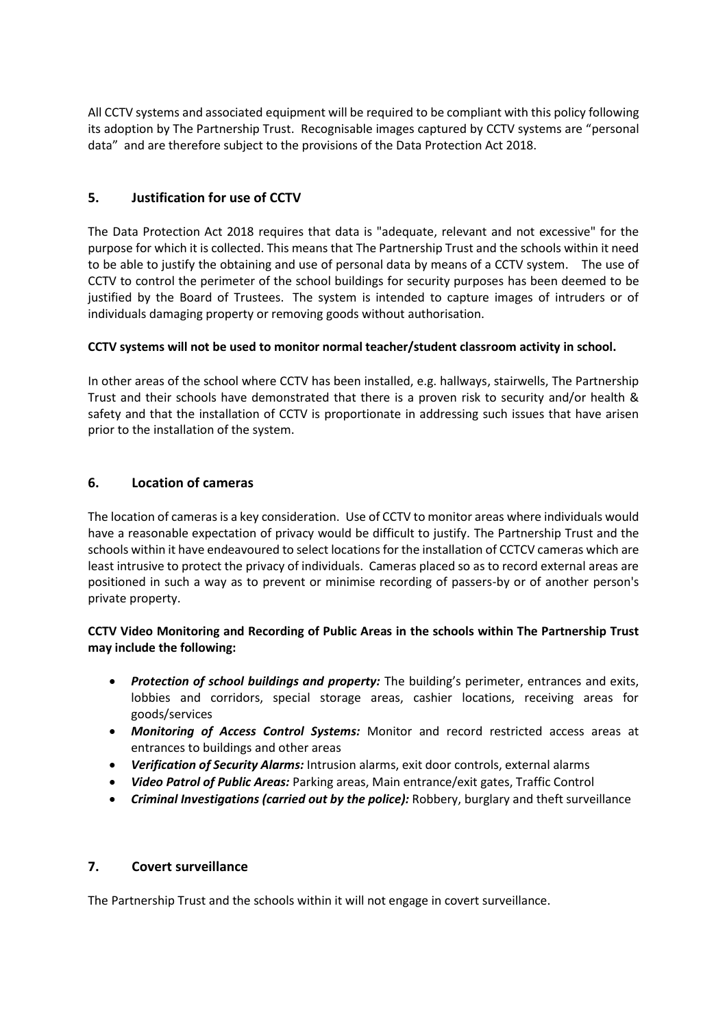All CCTV systems and associated equipment will be required to be compliant with this policy following its adoption by The Partnership Trust. Recognisable images captured by CCTV systems are "[personal](http://www.dataprotection.ie/viewdoc.asp?m=m&fn=/documents/guidance/310604.htm)  [data](http://www.dataprotection.ie/viewdoc.asp?m=m&fn=/documents/guidance/310604.htm)" and are therefore subject to the provisions of the Data Protection Act 2018.

# **5. Justification for use of CCTV**

The Data Protection Act 2018 requires that data is "adequate, relevant and not excessive" for the purpose for which it is collected. This means that The Partnership Trust and the schools within it need to be able to justify the obtaining and use of personal data by means of a CCTV system. The use of CCTV to control the perimeter of the school buildings for security purposes has been deemed to be justified by the Board of Trustees. The system is intended to capture images of intruders or of individuals damaging property or removing goods without authorisation.

# **CCTV systems will not be used to monitor normal teacher/student classroom activity in school.**

In other areas of the school where CCTV has been installed, e.g. hallways, stairwells, The Partnership Trust and their schools have demonstrated that there is a proven risk to security and/or health & safety and that the installation of CCTV is proportionate in addressing such issues that have arisen prior to the installation of the system.

# **6. Location of cameras**

The location of cameras is a key consideration. Use of CCTV to monitor areas where individuals would have a reasonable expectation of privacy would be difficult to justify. The Partnership Trust and the schools within it have endeavoured to select locations for the installation of CCTCV cameras which are least intrusive to protect the privacy of individuals. Cameras placed so as to record external areas are positioned in such a way as to prevent or minimise recording of passers-by or of another person's private property.

# **CCTV Video Monitoring and Recording of Public Areas in the schools within The Partnership Trust may include the following:**

- *Protection of school buildings and property:* The building's perimeter, entrances and exits, lobbies and corridors, special storage areas, cashier locations, receiving areas for goods/services
- *Monitoring of Access Control Systems:* Monitor and record restricted access areas at entrances to buildings and other areas
- *Verification of Security Alarms:* Intrusion alarms, exit door controls, external alarms
- *Video Patrol of Public Areas:* Parking areas, Main entrance/exit gates, Traffic Control
- *Criminal Investigations (carried out by the police):* Robbery, burglary and theft surveillance

# **7. Covert surveillance**

The Partnership Trust and the schools within it will not engage in covert surveillance.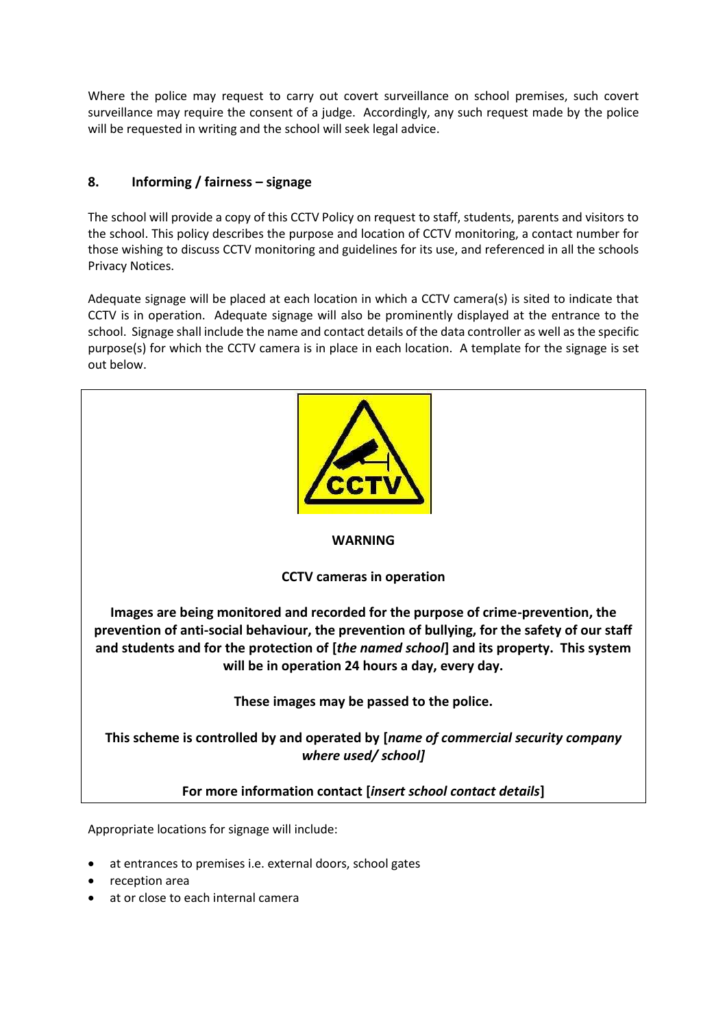Where the police may request to carry out covert surveillance on school premises, such covert surveillance may require the consent of a judge. Accordingly, any such request made by the police will be requested in writing and the school will seek legal advice.

# **8. Informing / fairness – signage**

The school will provide a copy of this CCTV Policy on request to staff, students, parents and visitors to the school. This policy describes the purpose and location of CCTV monitoring, a contact number for those wishing to discuss CCTV monitoring and guidelines for its use, and referenced in all the schools Privacy Notices.

Adequate signage will be placed at each location in which a CCTV camera(s) is sited to indicate that CCTV is in operation. Adequate signage will also be prominently displayed at the entrance to the school. Signage shall include the name and contact details of the data controller as well as the specific purpose(s) for which the CCTV camera is in place in each location. A template for the signage is set out below.



# **WARNING**

# **CCTV cameras in operation**

**Images are being monitored and recorded for the purpose of crime-prevention, the prevention of anti-social behaviour, the prevention of bullying, for the safety of our staff and students and for the protection of [***the named school***] and its property. This system will be in operation 24 hours a day, every day.** 

**These images may be passed to the police.**

**This scheme is controlled by and operated by [***name of commercial security company where used/ school]*

**For more information contact [***insert school contact details***]**

Appropriate locations for signage will include:

- at entrances to premises i.e. external doors, school gates
- reception area
- at or close to each internal camera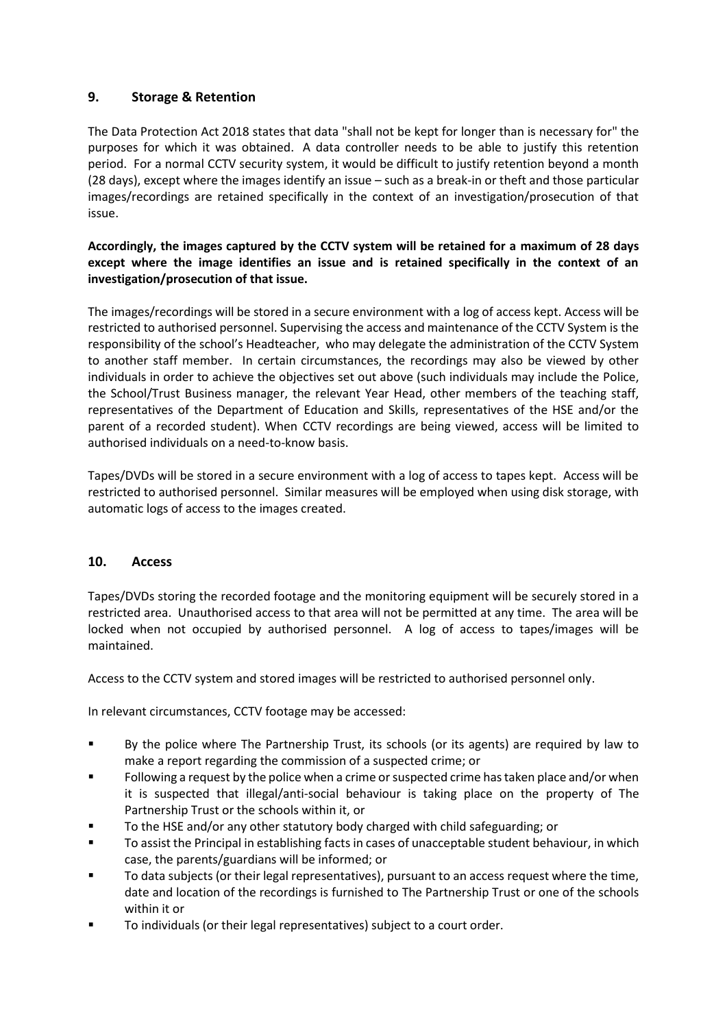# **9. Storage & Retention**

The Data Protection Act 2018 states that data "shall not be kept for longer than is necessary for" the purposes for which it was obtained. A data controller needs to be able to justify this retention period. For a normal CCTV security system, it would be difficult to justify retention beyond a month (28 days), except where the images identify an issue – such as a break-in or theft and those particular images/recordings are retained specifically in the context of an investigation/prosecution of that issue.

# **Accordingly, the images captured by the CCTV system will be retained for a maximum of 28 days except where the image identifies an issue and is retained specifically in the context of an investigation/prosecution of that issue.**

The images/recordings will be stored in a secure environment with a log of access kept. Access will be restricted to authorised personnel. Supervising the access and maintenance of the CCTV System is the responsibility of the school's Headteacher, who may delegate the administration of the CCTV System to another staff member. In certain circumstances, the recordings may also be viewed by other individuals in order to achieve the objectives set out above (such individuals may include the Police, the School/Trust Business manager, the relevant Year Head, other members of the teaching staff, representatives of the Department of Education and Skills, representatives of the HSE and/or the parent of a recorded student). When CCTV recordings are being viewed, access will be limited to authorised individuals on a need-to-know basis.

Tapes/DVDs will be stored in a secure environment with a log of access to tapes kept. Access will be restricted to authorised personnel. Similar measures will be employed when using disk storage, with automatic logs of access to the images created.

# **10. Access**

Tapes/DVDs storing the recorded footage and the monitoring equipment will be securely stored in a restricted area. Unauthorised access to that area will not be permitted at any time. The area will be locked when not occupied by authorised personnel. A log of access to tapes/images will be maintained.

Access to the CCTV system and stored images will be restricted to authorised personnel only.

In relevant circumstances, CCTV footage may be accessed:

- By the police where The Partnership Trust, its schools (or its agents) are required by law to make a report regarding the commission of a suspected crime; or
- Following a request by the police when a crime or suspected crime has taken place and/or when it is suspected that illegal/anti-social behaviour is taking place on the property of The Partnership Trust or the schools within it, or
- To the HSE and/or any other statutory body charged with child safeguarding; or
- To assist the Principal in establishing facts in cases of unacceptable student behaviour, in which case, the parents/guardians will be informed; or
- To data subjects (or their legal representatives), pursuant to an access request where the time, date and location of the recordings is furnished to The Partnership Trust or one of the schools within it or
- To individuals (or their legal representatives) subject to a court order.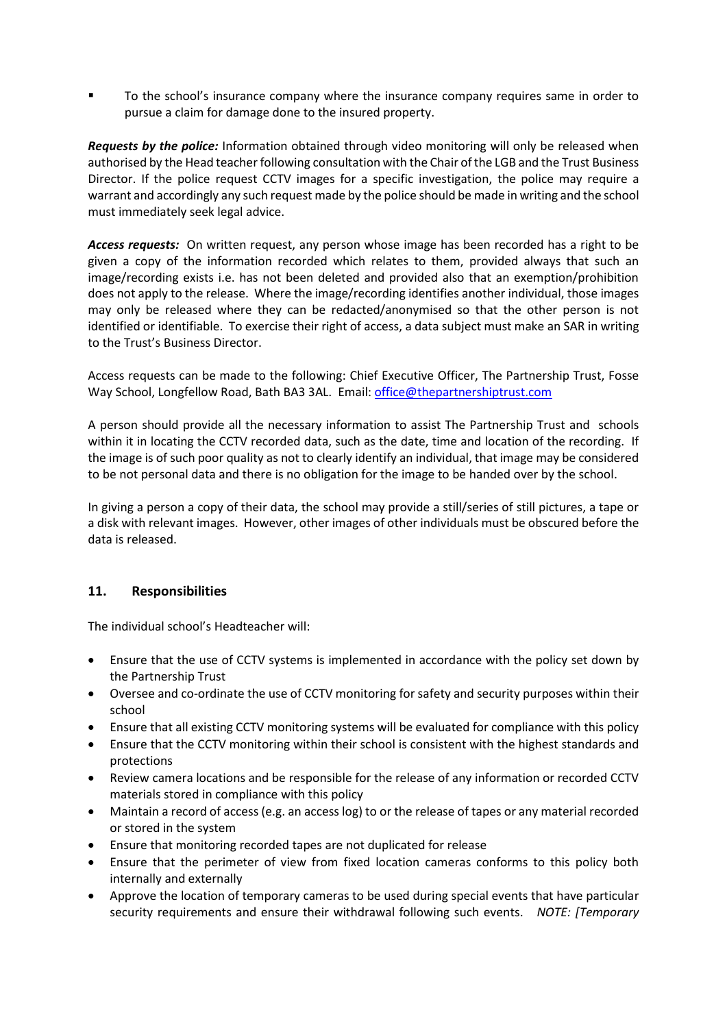To the school's insurance company where the insurance company requires same in order to pursue a claim for damage done to the insured property.

*Requests by the police:* Information obtained through video monitoring will only be released when authorised by the Head teacher following consultation with the Chair of the LGB and the Trust Business Director. If the police request CCTV images for a specific investigation, the police may require a warrant and accordingly any such request made by the police should be made in writing and the school must immediately seek legal advice.

*Access requests:* On written request, any person whose image has been recorded has a right to be given a copy of the information recorded which relates to them, provided always that such an image/recording exists i.e. has not been deleted and provided also that an exemption/prohibition does not apply to the release. Where the image/recording identifies another individual, those images may only be released where they can be redacted/anonymised so that the other person is not identified or identifiable. To exercise their right of access, a data subject must make an SAR in writing to the Trust's Business Director.

Access requests can be made to the following: Chief Executive Officer, The Partnership Trust, Fosse Way School, Longfellow Road, Bath BA3 3AL. Email[: office@thepartnershiptrust.com](mailto:office@thepartnershiptrust.com)

A person should provide all the necessary information to assist The Partnership Trust and schools within it in locating the CCTV recorded data, such as the date, time and location of the recording. If the image is of such poor quality as not to clearly identify an individual, that image may be considered to be not personal data and there is no obligation for the image to be handed over by the school.

In giving a person a copy of their data, the school may provide a still/series of still pictures, a tape or a disk with relevant images. However, other images of other individuals must be obscured before the data is released.

# **11. Responsibilities**

The individual school's Headteacher will:

- Ensure that the use of CCTV systems is implemented in accordance with the policy set down by the Partnership Trust
- Oversee and co-ordinate the use of CCTV monitoring for safety and security purposes within their school
- Ensure that all existing CCTV monitoring systems will be evaluated for compliance with this policy
- Ensure that the CCTV monitoring within their school is consistent with the highest standards and protections
- Review camera locations and be responsible for the release of any information or recorded CCTV materials stored in compliance with this policy
- Maintain a record of access (e.g. an access log) to or the release of tapes or any material recorded or stored in the system
- Ensure that monitoring recorded tapes are not duplicated for release
- Ensure that the perimeter of view from fixed location cameras conforms to this policy both internally and externally
- Approve the location of temporary cameras to be used during special events that have particular security requirements and ensure their withdrawal following such events. *NOTE: [Temporary*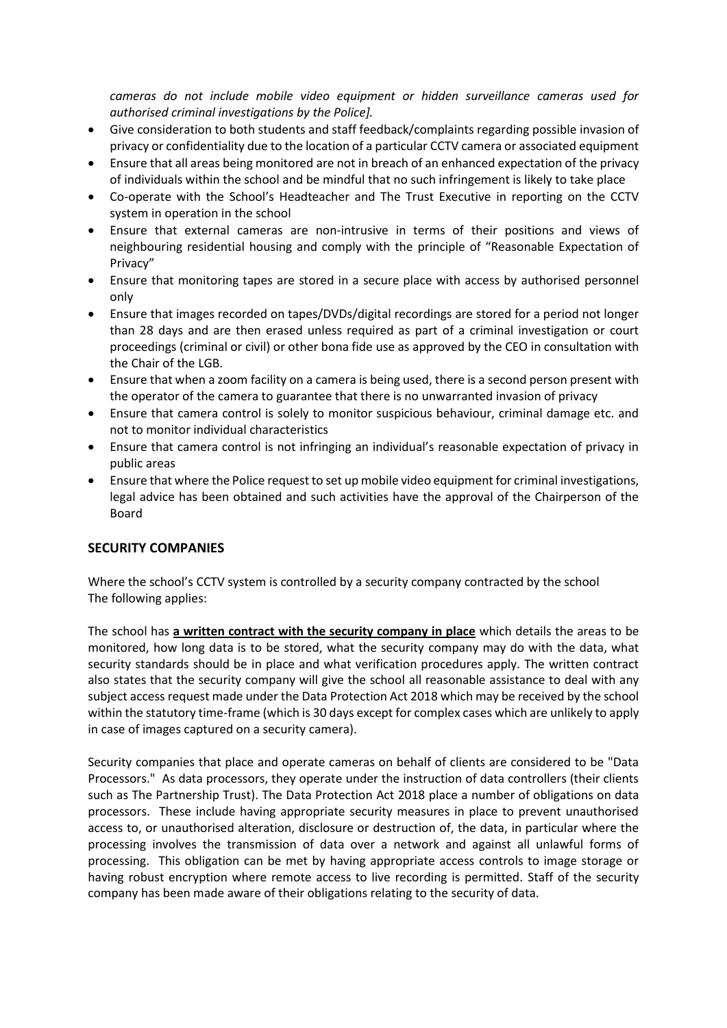*cameras do not include mobile video equipment or hidden surveillance cameras used for authorised criminal investigations by the Police].*

- Give consideration to both students and staff feedback/complaints regarding possible invasion of privacy or confidentiality due to the location of a particular CCTV camera or associated equipment
- Ensure that all areas being monitored are not in breach of an enhanced expectation of the privacy of individuals within the school and be mindful that no such infringement is likely to take place
- Co-operate with the School's Headteacher and The Trust Executive in reporting on the CCTV system in operation in the school
- Ensure that external cameras are non-intrusive in terms of their positions and views of neighbouring residential housing and comply with the principle of "Reasonable Expectation of Privacy"
- Ensure that monitoring tapes are stored in a secure place with access by authorised personnel only
- Ensure that images recorded on tapes/DVDs/digital recordings are stored for a period not longer than 28 days and are then erased unless required as part of a criminal investigation or court proceedings (criminal or civil) or other bona fide use as approved by the CEO in consultation with the Chair of the LGB.
- Ensure that when a zoom facility on a camera is being used, there is a second person present with the operator of the camera to guarantee that there is no unwarranted invasion of privacy
- Ensure that camera control is solely to monitor suspicious behaviour, criminal damage etc. and not to monitor individual characteristics
- Ensure that camera control is not infringing an individual's reasonable expectation of privacy in public areas
- Ensure that where the Police request to set up mobile video equipment for criminal investigations, legal advice has been obtained and such activities have the approval of the Chairperson of the Board

# **SECURITY COMPANIES**

Where the school's CCTV system is controlled by a security company contracted by the school The following applies:

The school has **a written contract with the security company in place** which details the areas to be monitored, how long data is to be stored, what the security company may do with the data, what security standards should be in place and what verification procedures apply. The written contract also states that the security company will give the school all reasonable assistance to deal with any subject access request made under the Data Protection Act 2018 which may be received by the school within the statutory time-frame (which is 30 days except for complex cases which are unlikely to apply in case of images captured on a security camera).

Security companies that place and operate cameras on behalf of clients are considered to be "Data Processors." As data processors, they operate under the instruction of data controllers (their clients such as The Partnership Trust). The Data Protection Act 2018 place a number of obligations on data processors. These include having appropriate security measures in place to prevent unauthorised access to, or unauthorised alteration, disclosure or destruction of, the data, in particular where the processing involves the transmission of data over a network and against all unlawful forms of processing. This obligation can be met by having appropriate access controls to image storage or having robust encryption where remote access to live recording is permitted. Staff of the security company has been made aware of their obligations relating to the security of data.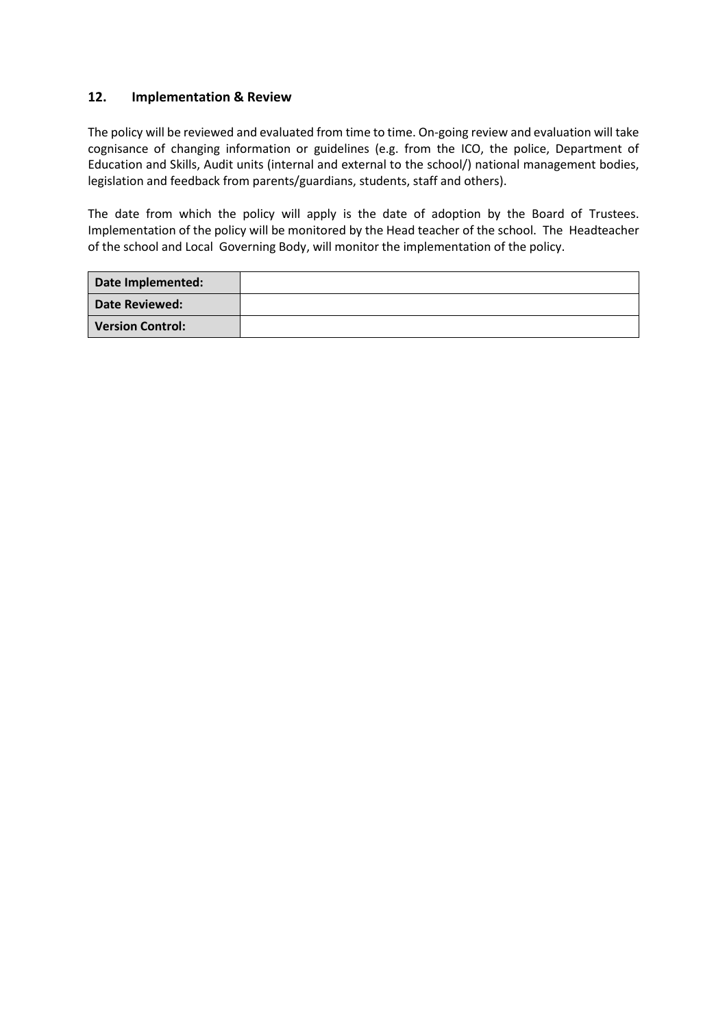# **12. Implementation & Review**

The policy will be reviewed and evaluated from time to time. On-going review and evaluation will take cognisance of changing information or guidelines (e.g. from the ICO, the police, Department of Education and Skills, Audit units (internal and external to the school/) national management bodies, legislation and feedback from parents/guardians, students, staff and others).

The date from which the policy will apply is the date of adoption by the Board of Trustees. Implementation of the policy will be monitored by the Head teacher of the school. The Headteacher of the school and Local Governing Body, will monitor the implementation of the policy.

| Date Implemented:       |  |
|-------------------------|--|
| <b>Date Reviewed:</b>   |  |
| <b>Version Control:</b> |  |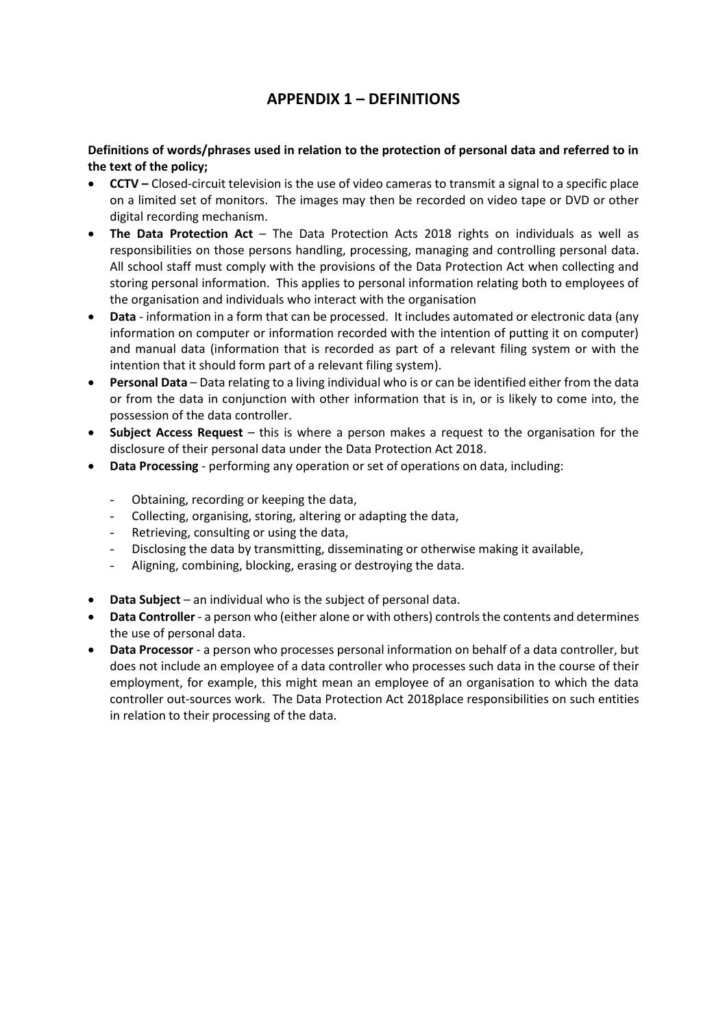# **APPENDIX 1 – DEFINITIONS**

**Definitions of words/phrases used in relation to the protection of personal data and referred to in the text of the policy;**

- **CCTV –** Closed-circuit television is the use of video cameras to transmit a signal to a specific place on a limited set of monitors. The images may then be recorded on video tape or DVD or other digital recording mechanism.
- **The Data Protection Act** The Data Protection Acts 2018 rights on individuals as well as responsibilities on those persons handling, processing, managing and controlling personal data. All school staff must comply with the provisions of the Data Protection Act when collecting and storing personal information. This applies to personal information relating both to employees of the organisation and individuals who interact with the organisation
- **Data** information in a form that can be processed. It includes automated or electronic data (any information on computer or information recorded with the intention of putting it on computer) and manual data (information that is recorded as part of a relevant filing system or with the intention that it should form part of a relevant filing system).
- **Personal Data** Data relating to a living individual who is or can be identified either from the data or from the data in conjunction with other information that is in, or is likely to come into, the possession of the data controller.
- **Subject Access Request** this is where a person makes a request to the organisation for the disclosure of their personal data under the Data Protection Act 2018.
- **Data Processing** performing any operation or set of operations on data, including:
	- Obtaining, recording or keeping the data,
	- Collecting, organising, storing, altering or adapting the data,
	- Retrieving, consulting or using the data,
	- Disclosing the data by transmitting, disseminating or otherwise making it available,
	- Aligning, combining, blocking, erasing or destroying the data.
- **Data Subject** an individual who is the subject of personal data.
- **Data Controller** a person who (either alone or with others) controls the contents and determines the use of personal data.
- **Data Processor** a person who processes personal information on behalf of a data controller, but does not include an employee of a data controller who processes such data in the course of their employment, for example, this might mean an employee of an organisation to which the data controller out-sources work. The Data Protection Act 2018place responsibilities on such entities in relation to their processing of the data.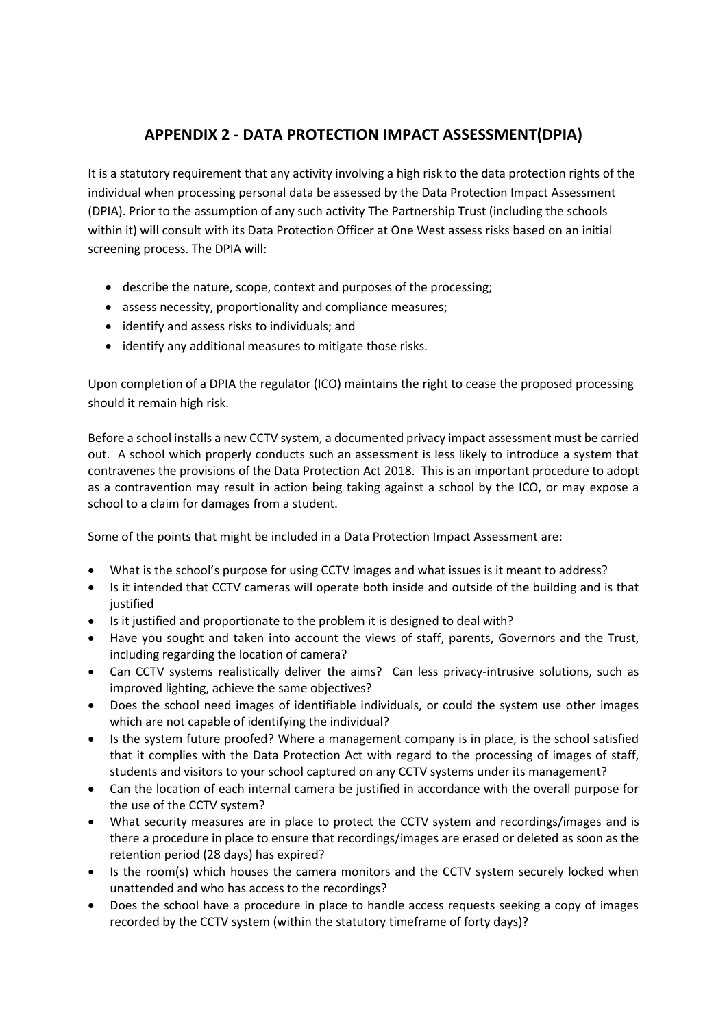# **APPENDIX 2 - DATA PROTECTION IMPACT ASSESSMENT(DPIA)**

It is a statutory requirement that any activity involving a high risk to the data protection rights of the individual when processing personal data be assessed by the Data Protection Impact Assessment (DPIA). Prior to the assumption of any such activity The Partnership Trust (including the schools within it) will consult with its Data Protection Officer at One West assess risks based on an initial screening process. The DPIA will:

- describe the nature, scope, context and purposes of the processing;
- assess necessity, proportionality and compliance measures;
- identify and assess risks to individuals; and
- identify any additional measures to mitigate those risks.

Upon completion of a DPIA the regulator (ICO) maintains the right to cease the proposed processing should it remain high risk.

Before a school installs a new CCTV system, a documented privacy impact assessment must be carried out. A school which properly conducts such an assessment is less likely to introduce a system that contravenes the provisions of the Data Protection Act 2018. This is an important procedure to adopt as a contravention may result in action being taking against a school by the ICO, or may expose a school to a claim for damages from a student.

Some of the points that might be included in a Data Protection Impact Assessment are:

- What is the school's purpose for using CCTV images and what issues is it meant to address?
- Is it intended that CCTV cameras will operate both inside and outside of the building and is that justified
- Is it justified and proportionate to the problem it is designed to deal with?
- Have you sought and taken into account the views of staff, parents, Governors and the Trust, including regarding the location of camera?
- Can CCTV systems realistically deliver the aims? Can less privacy-intrusive solutions, such as improved lighting, achieve the same objectives?
- Does the school need images of identifiable individuals, or could the system use other images which are not capable of identifying the individual?
- Is the system future proofed? Where a management company is in place, is the school satisfied that it complies with the Data Protection Act with regard to the processing of images of staff, students and visitors to your school captured on any CCTV systems under its management?
- Can the location of each internal camera be justified in accordance with the overall purpose for the use of the CCTV system?
- What security measures are in place to protect the CCTV system and recordings/images and is there a procedure in place to ensure that recordings/images are erased or deleted as soon as the retention period (28 days) has expired?
- Is the room(s) which houses the camera monitors and the CCTV system securely locked when unattended and who has access to the recordings?
- Does the school have a procedure in place to handle access requests seeking a copy of images recorded by the CCTV system (within the statutory timeframe of forty days)?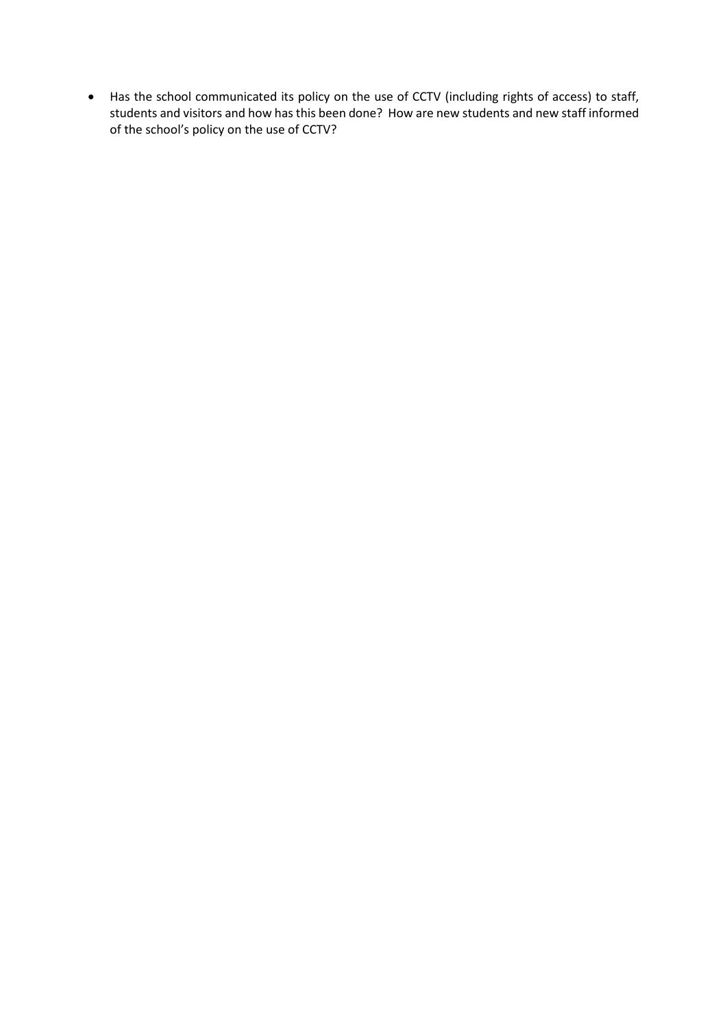• Has the school communicated its policy on the use of CCTV (including rights of access) to staff, students and visitors and how has this been done? How are new students and new staff informed of the school's policy on the use of CCTV?